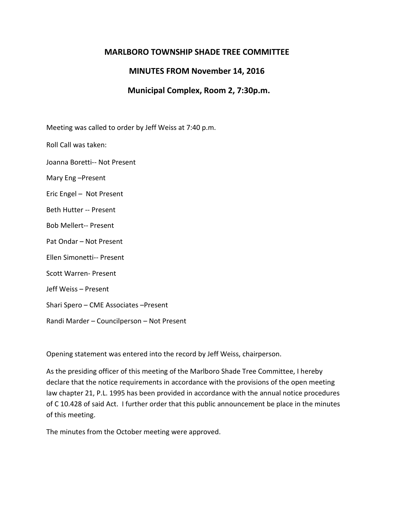## **MARLBORO TOWNSHIP SHADE TREE COMMITTEE**

## **MINUTES FROM November 14, 2016**

## **Municipal Complex, Room 2, 7:30p.m.**

Meeting was called to order by Jeff Weiss at 7:40 p.m.

Roll Call was taken:

Joanna Boretti-- Not Present

Mary Eng –Present

Eric Engel – Not Present

Beth Hutter -- Present

Bob Mellert-- Present

Pat Ondar – Not Present

Ellen Simonetti-- Present

Scott Warren- Present

Jeff Weiss – Present

Shari Spero – CME Associates –Present

Randi Marder – Councilperson – Not Present

Opening statement was entered into the record by Jeff Weiss, chairperson.

As the presiding officer of this meeting of the Marlboro Shade Tree Committee, I hereby declare that the notice requirements in accordance with the provisions of the open meeting law chapter 21, P.L. 1995 has been provided in accordance with the annual notice procedures of C 10.428 of said Act. I further order that this public announcement be place in the minutes of this meeting.

The minutes from the October meeting were approved.